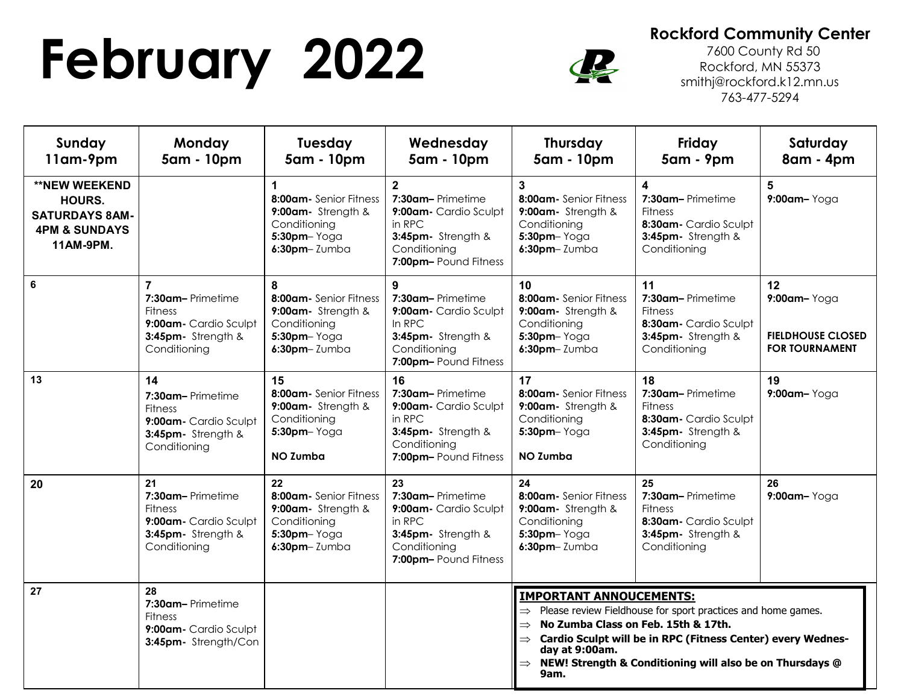## **February 2022** Rockford Community Center<br> **Rockford, MN 55373**<br> **Rockford, MN 55373**<br> **Rockford, MN 55373**



 7600 County Rd 50 Rockford, MN 55373 smithj@rockford.k12.mn.us 763-477-5294

| Sunday<br>11am-9pm                                                                                      | Monday<br>5am - 10pm                                                                                                | <b>Tuesday</b><br>5am - 10pm                                                                                          | Wednesday<br>5am - 10pm                                                                                                             | <b>Thursday</b><br>5am - 10pm                                                                                                                                                                                                                                                                                                           | Friday<br>5am - 9pm                                                                                                           | Saturday<br>8am - 4pm                                                  |  |
|---------------------------------------------------------------------------------------------------------|---------------------------------------------------------------------------------------------------------------------|-----------------------------------------------------------------------------------------------------------------------|-------------------------------------------------------------------------------------------------------------------------------------|-----------------------------------------------------------------------------------------------------------------------------------------------------------------------------------------------------------------------------------------------------------------------------------------------------------------------------------------|-------------------------------------------------------------------------------------------------------------------------------|------------------------------------------------------------------------|--|
| <b>**NEW WEEKEND</b><br><b>HOURS.</b><br><b>SATURDAYS 8AM-</b><br><b>4PM &amp; SUNDAYS</b><br>11AM-9PM. |                                                                                                                     | $\mathbf{1}$<br>8:00am- Senior Fitness<br>9:00am- Strength &<br>Conditioning<br>$5:30$ pm- $Yog$ a<br>$6:30$ pm-Zumba | $\overline{2}$<br>7:30am-Primetime<br>9:00am- Cardio Sculpt<br>in RPC<br>3:45pm- Strength &<br>Conditioning<br>7:00pm-Pound Fitness | 3<br>8:00am- Senior Fitness<br>9:00am- Strength &<br>Conditioning<br>$5:30$ pm- $Yog$ a<br>$6:30$ pm-Zumba                                                                                                                                                                                                                              | $\overline{\mathbf{4}}$<br>7:30am-Primetime<br><b>Fitness</b><br>8:30am - Cardio Sculpt<br>3:45pm- Strength &<br>Conditioning | 5<br>9:00am-Yoga                                                       |  |
| 6                                                                                                       | $\overline{7}$<br>7:30am-Primetime<br><b>Fitness</b><br>9:00am- Cardio Sculpt<br>3:45pm- Strength &<br>Conditioning | 8<br>8:00am- Senior Fitness<br>9:00am- Strength &<br>Conditioning<br>5:30pm-Yoga<br>$6:30$ pm-Zumba                   | 9<br>7:30am-Primetime<br>9:00am- Cardio Sculpt<br>In RPC<br>3:45pm- Strength &<br>Conditioning<br>7:00pm-Pound Fitness              | 10 <sup>1</sup><br>8:00am- Senior Fitness<br>9:00am- Strength &<br>Conditioning<br>5:30pm-Yoga<br>$6:30$ pm-Zumba                                                                                                                                                                                                                       | 11<br>7:30am-Primetime<br><b>Fitness</b><br>8:30am- Cardio Sculpt<br>3:45pm- Strength &<br>Conditioning                       | 12<br>9:00am-Yoga<br><b>FIELDHOUSE CLOSED</b><br><b>FOR TOURNAMENT</b> |  |
| 13                                                                                                      | 14<br>7:30am-Primetime<br><b>Fitness</b><br>9:00am- Cardio Sculpt<br>3:45pm- Strength &<br>Conditioning             | 15<br>8:00am- Senior Fitness<br>9:00am- Strength &<br>Conditioning<br>$5:30$ pm- $Yogq$<br>NO Zumba                   | 16<br>7:30am-Primetime<br>9:00am- Cardio Sculpt<br>in RPC<br>3:45pm- Strength &<br>Conditioning<br>7:00pm-Pound Fitness             | 17<br>8:00am- Senior Fitness<br>9:00am- Strength &<br>Conditioning<br>$5:30$ pm $-$ Yoga<br><b>NO Zumba</b>                                                                                                                                                                                                                             | 18<br>7:30am-Primetime<br><b>Fitness</b><br>8:30am- Cardio Sculpt<br>3:45pm- Strength &<br>Conditioning                       | 19<br>$9:00$ am-Yoga                                                   |  |
| 20                                                                                                      | 21<br>7:30am-Primetime<br><b>Fitness</b><br>9:00am- Cardio Sculpt<br>3:45pm- Strength &<br>Conditioning             | 22<br>8:00am- Senior Fitness<br>9:00am- Strength &<br>Conditioning<br>$5:30$ pm- $Yog$ a<br>$6:30$ pm-Zumba           | 23<br>7:30am-Primetime<br>9:00am- Cardio Sculpt<br>in RPC<br>3:45pm- Strength &<br>Conditioning<br>7:00pm-Pound Fitness             | 24<br>8:00am- Senior Fitness<br>9:00am- Strength &<br>Conditioning<br>$5:30$ pm- $Yog$ a<br>$6:30$ pm-Zumba                                                                                                                                                                                                                             | 25<br>7:30am-Primetime<br><b>Fitness</b><br>8:30am- Cardio Sculpt<br>3:45pm- Strength &<br>Conditioning                       | 26<br>9:00am-Yoga                                                      |  |
| 27                                                                                                      | 28<br>7:30am-Primetime<br><b>Fitness</b><br>9:00am- Cardio Sculpt<br>3:45pm- Strength/Con                           |                                                                                                                       |                                                                                                                                     | <b>IMPORTANT ANNOUCEMENTS:</b><br>$\Rightarrow$ Please review Fieldhouse for sport practices and home games.<br>$\Rightarrow$ No Zumba Class on Feb. 15th & 17th.<br>Cardio Sculpt will be in RPC (Fitness Center) every Wednes-<br>$\Rightarrow$<br>day at 9:00am.<br>NEW! Strength & Conditioning will also be on Thursdays @<br>9am. |                                                                                                                               |                                                                        |  |